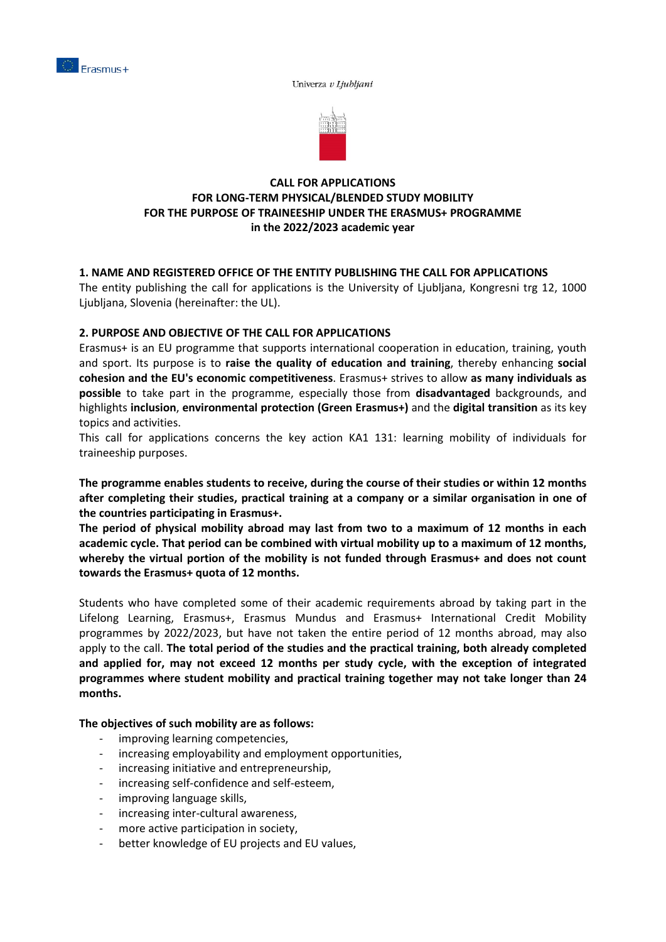

Univerza v Ljubljani



# **CALL FOR APPLICATIONS FOR LONG-TERM PHYSICAL/BLENDED STUDY MOBILITY FOR THE PURPOSE OF TRAINEESHIP UNDER THE ERASMUS+ PROGRAMME in the 2022/2023 academic year**

# **1. NAME AND REGISTERED OFFICE OF THE ENTITY PUBLISHING THE CALL FOR APPLICATIONS**

The entity publishing the call for applications is the University of Ljubljana, Kongresni trg 12, 1000 Ljubljana, Slovenia (hereinafter: the UL).

## **2. PURPOSE AND OBJECTIVE OF THE CALL FOR APPLICATIONS**

Erasmus+ is an EU programme that supports international cooperation in education, training, youth and sport. Its purpose is to **raise the quality of education and training**, thereby enhancing **social cohesion and the EU's economic competitiveness**. Erasmus+ strives to allow **as many individuals as possible** to take part in the programme, especially those from **disadvantaged** backgrounds, and highlights **[inclusion](https://www.cmepius.si/mednarodno-sodelovanje/moznosti-sodelovanja/vkljucujoci-erasmus/)**, **environmental protection [\(Green Erasmus+\)](https://www.cmepius.si/mednarodno-sodelovanje/moznosti-sodelovanja/zeleni-erasmus/)** and the **digital transition** as its key topics and activities.

This call for applications concerns the key action KA1 131: learning mobility of individuals for traineeship purposes.

**The programme enables students to receive, during the course of their studies or within 12 months after completing their studies, practical training at a company or a similar organisation in one of the countries participating in Erasmus+.**

**The period of physical mobility abroad may last from two to a maximum of 12 months in each academic cycle. That period can be combined with virtual mobility up to a maximum of 12 months, whereby the virtual portion of the mobility is not funded through Erasmus+ and does not count towards the Erasmus+ quota of 12 months.** 

Students who have completed some of their academic requirements abroad by taking part in the Lifelong Learning, Erasmus+, Erasmus Mundus and Erasmus+ International Credit Mobility programmes by 2022/2023, but have not taken the entire period of 12 months abroad, may also apply to the call. **The total period of the studies and the practical training, both already completed and applied for, may not exceed 12 months per study cycle, with the exception of integrated programmes where student mobility and practical training together may not take longer than 24 months.** 

**The objectives of such mobility are as follows:**

- improving learning competencies,
- increasing employability and employment opportunities,
- increasing initiative and entrepreneurship,
- increasing self-confidence and self-esteem,
- improving language skills,
- increasing inter-cultural awareness,
- more active participation in society,
- better knowledge of EU projects and EU values,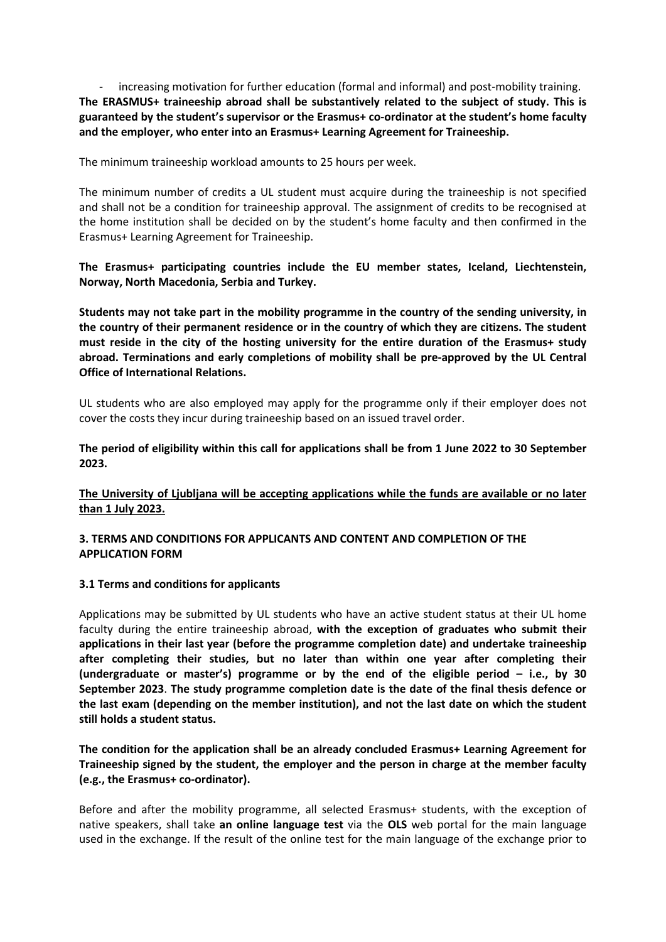increasing motivation for further education (formal and informal) and post-mobility training. **The ERASMUS+ traineeship abroad shall be substantively related to the subject of study. This is guaranteed by the student's supervisor or the Erasmus+ co-ordinator at the student's home faculty and the employer, who enter into an Erasmus+ Learning Agreement for Traineeship.** 

The minimum traineeship workload amounts to 25 hours per week.

The minimum number of credits a UL student must acquire during the traineeship is not specified and shall not be a condition for traineeship approval. The assignment of credits to be recognised at the home institution shall be decided on by the student's home faculty and then confirmed in the Erasmus+ Learning Agreement for Traineeship.

**The Erasmus+ participating countries include the EU member states, Iceland, Liechtenstein, Norway, North Macedonia, Serbia and Turkey.**

**Students may not take part in the mobility programme in the country of the sending university, in the country of their permanent residence or in the country of which they are citizens. The student must reside in the city of the hosting university for the entire duration of the Erasmus+ study abroad. Terminations and early completions of mobility shall be pre-approved by the UL Central Office of International Relations.**

UL students who are also employed may apply for the programme only if their employer does not cover the costs they incur during traineeship based on an issued travel order.

**The period of eligibility within this call for applications shall be from 1 June 2022 to 30 September 2023.**

**The University of Ljubljana will be accepting applications while the funds are available or no later than 1 July 2023.** 

## **3. TERMS AND CONDITIONS FOR APPLICANTS AND CONTENT AND COMPLETION OF THE APPLICATION FORM**

#### **3.1 Terms and conditions for applicants**

Applications may be submitted by UL students who have an active student status at their UL home faculty during the entire traineeship abroad, **with the exception of graduates who submit their applications in their last year (before the programme completion date) and undertake traineeship after completing their studies, but no later than within one year after completing their (undergraduate or master's) programme or by the end of the eligible period – i.e., by 30 September 2023**. **The study programme completion date is the date of the final thesis defence or the last exam (depending on the member institution), and not the last date on which the student still holds a student status.**

**The condition for the application shall be an already concluded Erasmus+ Learning Agreement for Traineeship signed by the student, the employer and the person in charge at the member faculty (e.g., the Erasmus+ co-ordinator).** 

Before and after the mobility programme, all selected Erasmus+ students, with the exception of native speakers, shall take **an online language test** via the **OLS** web portal for the main language used in the exchange. If the result of the online test for the main language of the exchange prior to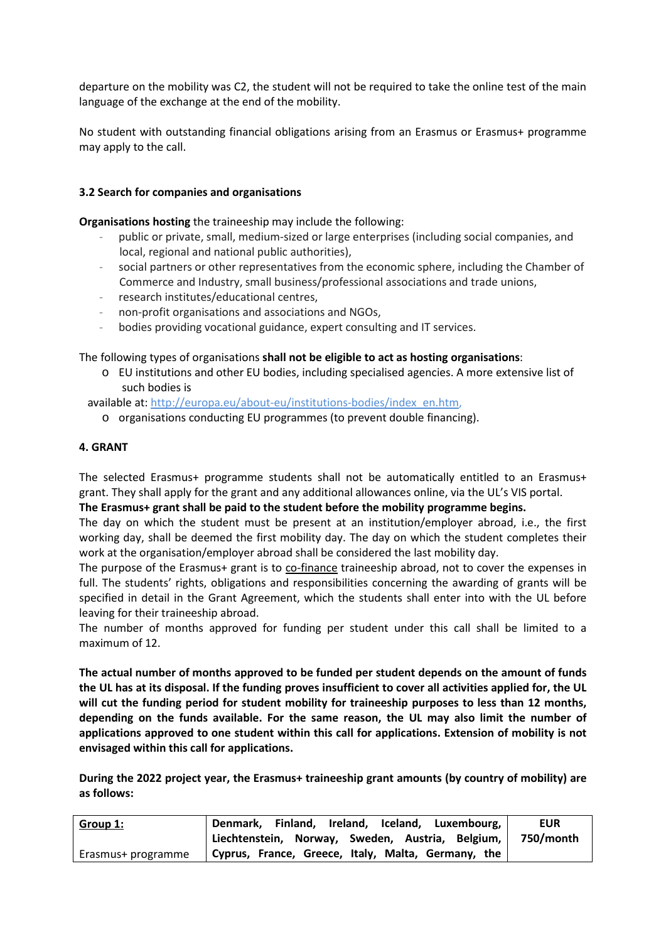departure on the mobility was C2, the student will not be required to take the online test of the main language of the exchange at the end of the mobility.

No student with outstanding financial obligations arising from an Erasmus or Erasmus+ programme may apply to the call.

#### **3.2 Search for companies and organisations**

**Organisations hosting** the traineeship may include the following:

- public or private, small, medium-sized or large enterprises (including social companies, and local, regional and national public authorities),
- social partners or other representatives from the economic sphere, including the Chamber of Commerce and Industry, small business/professional associations and trade unions,
- research institutes/educational centres,
- non-profit organisations and associations and NGOs,
- bodies providing vocational guidance, expert consulting and IT services.

The following types of organisations **shall not be eligible to act as hosting organisations**:

o EU institutions and other EU bodies, including specialised agencies. A more extensive list of such bodies is

available at: [http://europa.eu/about-eu/institutions-bodies/index\\_en.htm,](http://europa.eu/about-eu/institutions-bodies/index_en.htm)

o organisations conducting EU programmes (to prevent double financing).

## **4. GRANT**

The selected Erasmus+ programme students shall not be automatically entitled to an Erasmus+ grant. They shall apply for the grant and any additional allowances online, via the UL's VIS portal.

#### **The Erasmus+ grant shall be paid to the student before the mobility programme begins.**

The day on which the student must be present at an institution/employer abroad, i.e., the first working day, shall be deemed the first mobility day. The day on which the student completes their work at the organisation/employer abroad shall be considered the last mobility day.

The purpose of the Erasmus+ grant is to co-finance traineeship abroad, not to cover the expenses in full. The students' rights, obligations and responsibilities concerning the awarding of grants will be specified in detail in the Grant Agreement, which the students shall enter into with the UL before leaving for their traineeship abroad.

The number of months approved for funding per student under this call shall be limited to a maximum of 12.

**The actual number of months approved to be funded per student depends on the amount of funds the UL has at its disposal. If the funding proves insufficient to cover all activities applied for, the UL will cut the funding period for student mobility for traineeship purposes to less than 12 months, depending on the funds available. For the same reason, the UL may also limit the number of applications approved to one student within this call for applications. Extension of mobility is not envisaged within this call for applications.**

**During the 2022 project year, the Erasmus+ traineeship grant amounts (by country of mobility) are as follows:**

| <u>Group 1:</u>    | Denmark, Finland, Ireland, Iceland, Luxembourg,    | <b>EUR</b> |
|--------------------|----------------------------------------------------|------------|
|                    | Liechtenstein, Norway, Sweden, Austria, Belgium,   | 750/month  |
| Erasmus+ programme | Cyprus, France, Greece, Italy, Malta, Germany, the |            |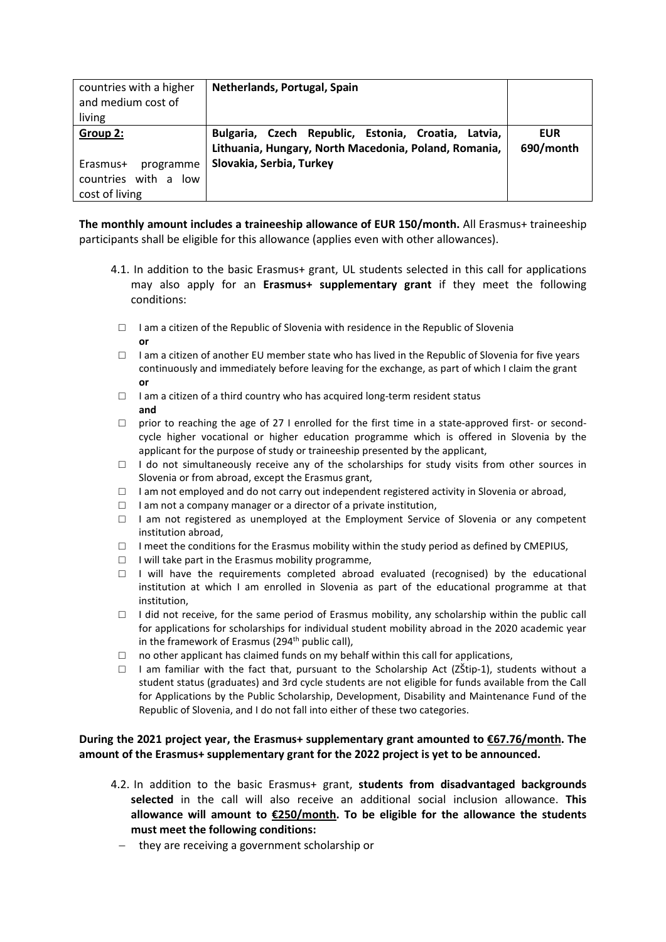| countries with a higher<br>and medium cost of<br>living         | Netherlands, Portugal, Spain                                                                                 |                         |
|-----------------------------------------------------------------|--------------------------------------------------------------------------------------------------------------|-------------------------|
| Group 2:                                                        | Bulgaria, Czech Republic, Estonia, Croatia, Latvia,<br>Lithuania, Hungary, North Macedonia, Poland, Romania, | <b>EUR</b><br>690/month |
| Erasmus+<br>programme<br>countries with a low<br>cost of living | Slovakia, Serbia, Turkey                                                                                     |                         |

**The monthly amount includes a traineeship allowance of EUR 150/month.** All Erasmus+ traineeship participants shall be eligible for this allowance (applies even with other allowances).

- 4.1. In addition to the basic Erasmus+ grant, UL students selected in this call for applications may also apply for an **Erasmus+ supplementary grant** if they meet the following conditions:
	- $\Box$  I am a citizen of the Republic of Slovenia with residence in the Republic of Slovenia **or**
	- $\Box$  I am a citizen of another EU member state who has lived in the Republic of Slovenia for five years continuously and immediately before leaving for the exchange, as part of which I claim the grant **or**
	- $\Box$  I am a citizen of a third country who has acquired long-term resident status **and**
	- $\Box$  prior to reaching the age of 27 I enrolled for the first time in a state-approved first- or secondcycle higher vocational or higher education programme which is offered in Slovenia by the applicant for the purpose of study or traineeship presented by the applicant,
	- $\Box$  I do not simultaneously receive any of the scholarships for study visits from other sources in Slovenia or from abroad, except the Erasmus grant,
	- $\Box$  I am not employed and do not carry out independent registered activity in Slovenia or abroad,
	- $\Box$  I am not a company manager or a director of a private institution,
	- □ I am not registered as unemployed at the Employment Service of Slovenia or any competent institution abroad,
	- $\Box$  I meet the conditions for the Erasmus mobility within the study period as defined by CMEPIUS,
	- $\Box$  I will take part in the Erasmus mobility programme,
	- $\Box$  I will have the requirements completed abroad evaluated (recognised) by the educational institution at which I am enrolled in Slovenia as part of the educational programme at that institution,
	- $\Box$  I did not receive, for the same period of Erasmus mobility, any scholarship within the public call for applications for scholarships for individual student mobility abroad in the 2020 academic year in the framework of Erasmus (294<sup>th</sup> public call),
- $\Box$  no other applicant has claimed funds on my behalf within this call for applications,
- $\Box$  I am familiar with the fact that, pursuant to the Scholarship Act (ZŠtip-1), students without a student status (graduates) and 3rd cycle students are not eligible for funds available from the Call for Applications by the Public Scholarship, Development, Disability and Maintenance Fund of the Republic of Slovenia, and I do not fall into either of these two categories.

# **During the 2021 project year, the Erasmus+ supplementary grant amounted to €67.76/month. The amount of the Erasmus+ supplementary grant for the 2022 project is yet to be announced.**

- 4.2. In addition to the basic Erasmus+ grant, **students from disadvantaged backgrounds selected** in the call will also receive an additional social inclusion allowance. **This allowance will amount to €250/month. To be eligible for the allowance the students must meet the following conditions:**
	- − they are receiving a government scholarship or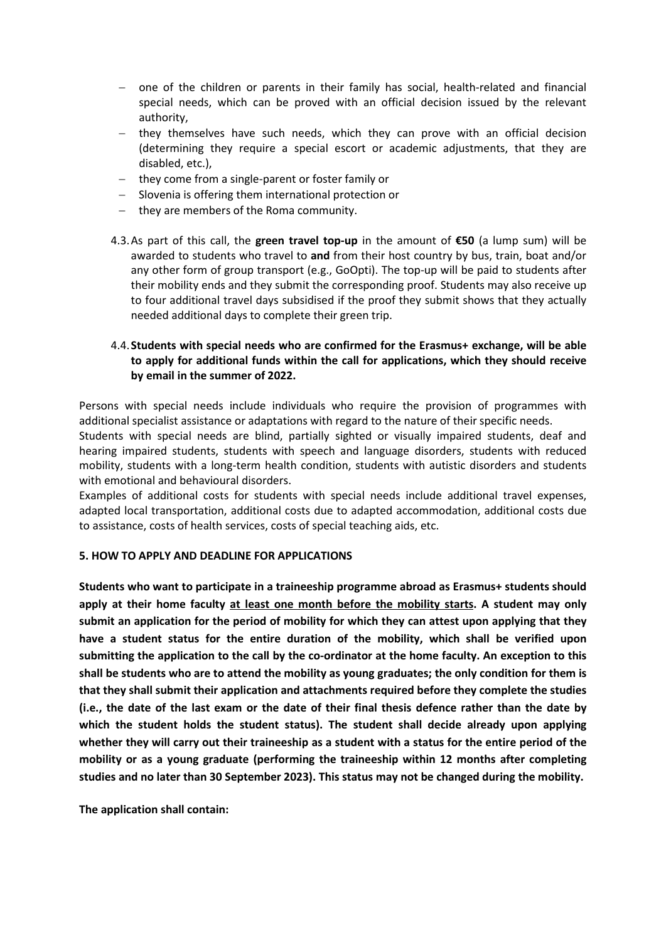- − one of the children or parents in their family has social, health-related and financial special needs, which can be proved with an official decision issued by the relevant authority,
- − they themselves have such needs, which they can prove with an official decision (determining they require a special escort or academic adjustments, that they are disabled, etc.),
- − they come from a single-parent or foster family or
- Slovenia is offering them international protection or
- − they are members of the Roma community.
- 4.3.As part of this call, the **green travel top-up** in the amount of **€50** (a lump sum) will be awarded to students who travel to **and** from their host country by bus, train, boat and/or any other form of group transport (e.g., GoOpti). The top-up will be paid to students after their mobility ends and they submit the corresponding proof. Students may also receive up to four additional travel days subsidised if the proof they submit shows that they actually needed additional days to complete their green trip.

# 4.4.**Students with special needs who are confirmed for the Erasmus+ exchange, will be able to apply for additional funds within the call for applications, which they should receive by email in the summer of 2022.**

Persons with special needs include individuals who require the provision of programmes with additional specialist assistance or adaptations with regard to the nature of their specific needs.

Students with special needs are blind, partially sighted or visually impaired students, deaf and hearing impaired students, students with speech and language disorders, students with reduced mobility, students with a long-term health condition, students with autistic disorders and students with emotional and behavioural disorders.

Examples of additional costs for students with special needs include additional travel expenses, adapted local transportation, additional costs due to adapted accommodation, additional costs due to assistance, costs of health services, costs of special teaching aids, etc.

#### **5. HOW TO APPLY AND DEADLINE FOR APPLICATIONS**

**Students who want to participate in a traineeship programme abroad as Erasmus+ students should apply at their home faculty at least one month before the mobility starts. A student may only submit an application for the period of mobility for which they can attest upon applying that they have a student status for the entire duration of the mobility, which shall be verified upon submitting the application to the call by the co-ordinator at the home faculty. An exception to this shall be students who are to attend the mobility as young graduates; the only condition for them is that they shall submit their application and attachments required before they complete the studies (i.e., the date of the last exam or the date of their final thesis defence rather than the date by which the student holds the student status). The student shall decide already upon applying whether they will carry out their traineeship as a student with a status for the entire period of the mobility or as a young graduate (performing the traineeship within 12 months after completing studies and no later than 30 September 2023). This status may not be changed during the mobility.** 

**The application shall contain:**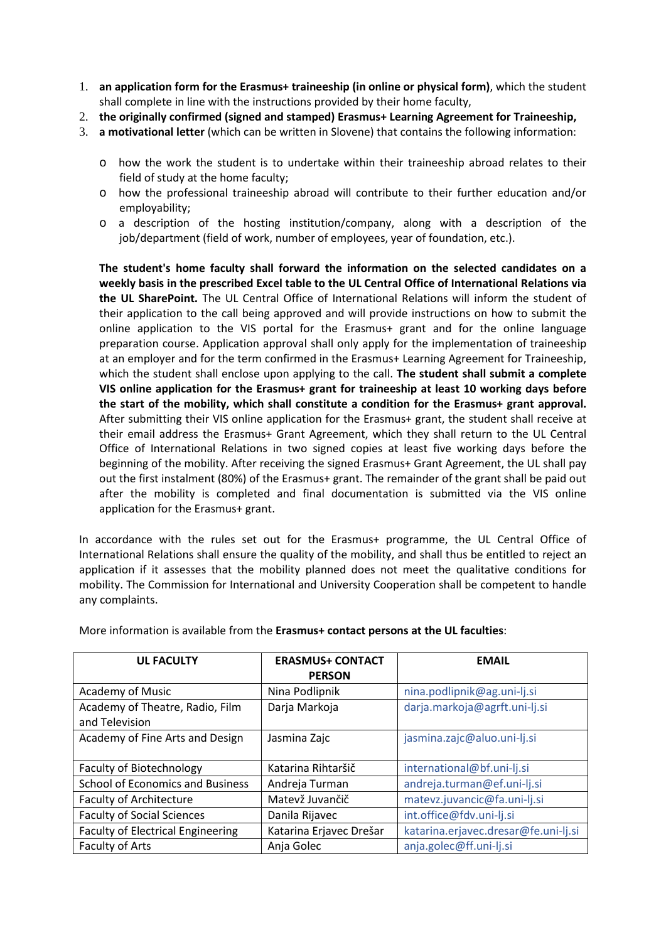- 1. **an application form for the Erasmus+ traineeship (in online or physical form)**, which the student shall complete in line with the instructions provided by their home faculty,
- 2. **the originally confirmed (signed and stamped) Erasmus+ Learning Agreement for Traineeship,**
- 3. **a motivational letter** (which can be written in Slovene) that contains the following information:
	- o how the work the student is to undertake within their traineeship abroad relates to their field of study at the home faculty;
	- o how the professional traineeship abroad will contribute to their further education and/or employability;
	- o a description of the hosting institution/company, along with a description of the job/department (field of work, number of employees, year of foundation, etc.).

**The student's home faculty shall forward the information on the selected candidates on a weekly basis in the prescribed Excel table to the UL Central Office of International Relations via the UL SharePoint.** The UL Central Office of International Relations will inform the student of their application to the call being approved and will provide instructions on how to submit the online application to the VIS portal for the Erasmus+ grant and for the online language preparation course. Application approval shall only apply for the implementation of traineeship at an employer and for the term confirmed in the Erasmus+ Learning Agreement for Traineeship, which the student shall enclose upon applying to the call. **The student shall submit a complete VIS online application for the Erasmus+ grant for traineeship at least 10 working days before the start of the mobility, which shall constitute a condition for the Erasmus+ grant approval.**  After submitting their VIS online application for the Erasmus+ grant, the student shall receive at their email address the Erasmus+ Grant Agreement, which they shall return to the UL Central Office of International Relations in two signed copies at least five working days before the beginning of the mobility. After receiving the signed Erasmus+ Grant Agreement, the UL shall pay out the first instalment (80%) of the Erasmus+ grant. The remainder of the grant shall be paid out after the mobility is completed and final documentation is submitted via the VIS online application for the Erasmus+ grant.

In accordance with the rules set out for the Erasmus+ programme, the UL Central Office of International Relations shall ensure the quality of the mobility, and shall thus be entitled to reject an application if it assesses that the mobility planned does not meet the qualitative conditions for mobility. The Commission for International and University Cooperation shall be competent to handle any complaints.

| <b>UL FACULTY</b>                                 | <b>ERASMUS+ CONTACT</b><br><b>PERSON</b> | <b>EMAIL</b>                         |
|---------------------------------------------------|------------------------------------------|--------------------------------------|
| Academy of Music                                  | Nina Podlipnik                           | nina.podlipnik@ag.uni-lj.si          |
| Academy of Theatre, Radio, Film<br>and Television | Darja Markoja                            | darja.markoja@agrft.uni-lj.si        |
| Academy of Fine Arts and Design                   | Jasmina Zajc                             | jasmina.zajc@aluo.uni-lj.si          |
| Faculty of Biotechnology                          | Katarina Rihtaršič                       | international@bf.uni-lj.si           |
| <b>School of Economics and Business</b>           | Andreja Turman                           | andreja.turman@ef.uni-lj.si          |
| <b>Faculty of Architecture</b>                    | Matevž Juvančič                          | matevz.juvancic@fa.uni-lj.si         |
| <b>Faculty of Social Sciences</b>                 | Danila Rijavec                           | int.office@fdv.uni-lj.si             |
| <b>Faculty of Electrical Engineering</b>          | Katarina Erjavec Drešar                  | katarina.erjavec.dresar@fe.uni-lj.si |
| Faculty of Arts                                   | Anja Golec                               | anja.golec@ff.uni-lj.si              |

More information is available from the **Erasmus+ contact persons at the UL faculties**: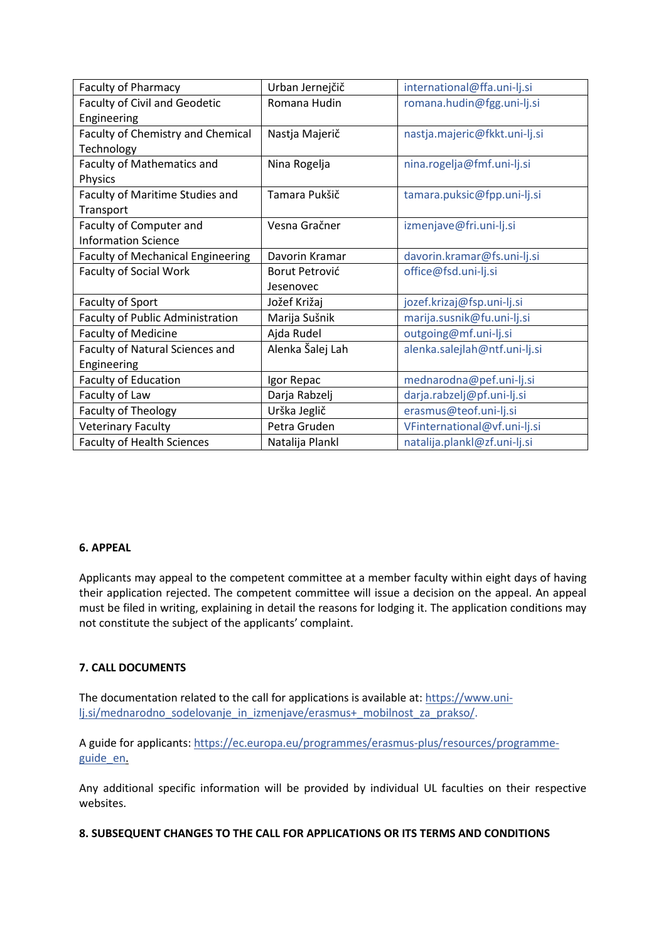| <b>Faculty of Pharmacy</b>               | Urban Jernejčič  | international@ffa.uni-lj.si   |
|------------------------------------------|------------------|-------------------------------|
| <b>Faculty of Civil and Geodetic</b>     | Romana Hudin     | romana.hudin@fgg.uni-lj.si    |
| Engineering                              |                  |                               |
| Faculty of Chemistry and Chemical        | Nastja Majerič   | nastja.majeric@fkkt.uni-lj.si |
| Technology                               |                  |                               |
| Faculty of Mathematics and               | Nina Rogelja     | nina.rogelja@fmf.uni-lj.si    |
| Physics                                  |                  |                               |
| Faculty of Maritime Studies and          | Tamara Pukšič    | tamara.puksic@fpp.uni-lj.si   |
| Transport                                |                  |                               |
| Faculty of Computer and                  | Vesna Gračner    | izmenjave@fri.uni-lj.si       |
| <b>Information Science</b>               |                  |                               |
| <b>Faculty of Mechanical Engineering</b> | Davorin Kramar   | davorin.kramar@fs.uni-lj.si   |
| <b>Faculty of Social Work</b>            | Borut Petrović   | office@fsd.uni-lj.si          |
|                                          | Jesenovec        |                               |
| Faculty of Sport                         | Jožef Križaj     | jozef.krizaj@fsp.uni-lj.si    |
| <b>Faculty of Public Administration</b>  | Marija Sušnik    | marija.susnik@fu.uni-lj.si    |
| <b>Faculty of Medicine</b>               | Ajda Rudel       | outgoing@mf.uni-lj.si         |
| Faculty of Natural Sciences and          | Alenka Šalej Lah | alenka.salejlah@ntf.uni-lj.si |
| Engineering                              |                  |                               |
| <b>Faculty of Education</b>              | Igor Repac       | mednarodna@pef.uni-lj.si      |
| Faculty of Law                           | Darja Rabzelj    | darja.rabzelj@pf.uni-lj.si    |
| Faculty of Theology                      | Urška Jeglič     | erasmus@teof.uni-lj.si        |
| <b>Veterinary Faculty</b>                | Petra Gruden     | VFinternational@vf.uni-lj.si  |
| <b>Faculty of Health Sciences</b>        | Natalija Plankl  | natalija.plankl@zf.uni-lj.si  |

# **6. APPEAL**

Applicants may appeal to the competent committee at a member faculty within eight days of having their application rejected. The competent committee will issue a decision on the appeal. An appeal must be filed in writing, explaining in detail the reasons for lodging it. The application conditions may not constitute the subject of the applicants' complaint.

# **7. CALL DOCUMENTS**

The documentation related to the call for applications is available at: [https://www.uni](https://www.uni-lj.si/mednarodno_sodelovanje_in_izmenjave/erasmus+_mobilnost_za_prakso/)[lj.si/mednarodno\\_sodelovanje\\_in\\_izmenjave/erasmus+\\_mobilnost\\_za\\_prakso/.](https://www.uni-lj.si/mednarodno_sodelovanje_in_izmenjave/erasmus+_mobilnost_za_prakso/)

A guide for applicants: [https://ec.europa.eu/programmes/erasmus-plus/resources/programme](https://ec.europa.eu/programmes/erasmus-plus/resources/programme-guide_en)[guide\\_en.](https://ec.europa.eu/programmes/erasmus-plus/resources/programme-guide_en)

Any additional specific information will be provided by individual UL faculties on their respective websites.

#### **8. SUBSEQUENT CHANGES TO THE CALL FOR APPLICATIONS OR ITS TERMS AND CONDITIONS**